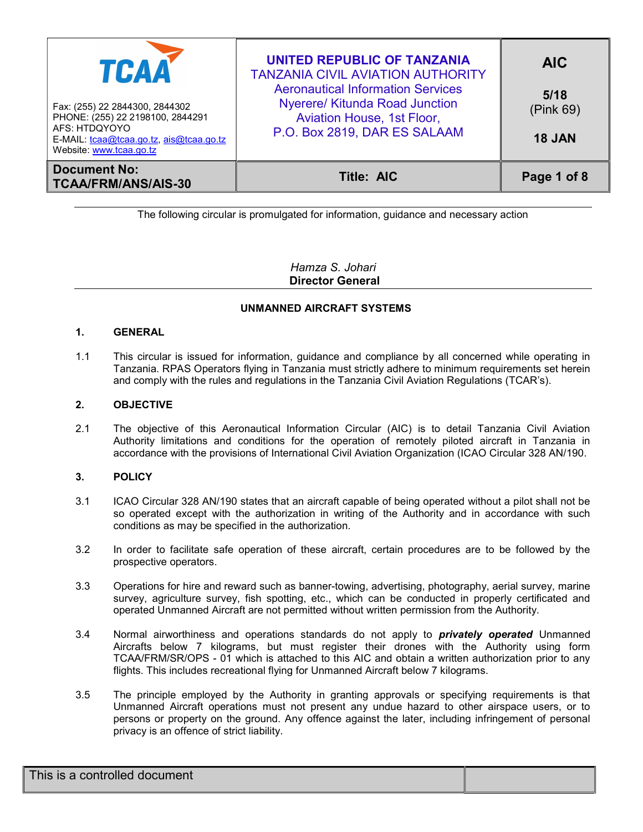| TCAA<br>Fax: (255) 22 2844300, 2844302<br>PHONE: (255) 22 2198100, 2844291<br>AFS: HTDQYOYO<br>E-MAIL: tcaa@tcaa.go.tz, ais@tcaa.go.tz<br>Website: www.tcaa.go.tz | <b>UNITED REPUBLIC OF TANZANIA</b><br><b>TANZANIA CIVIL AVIATION AUTHORITY</b><br><b>Aeronautical Information Services</b><br><b>Nyerere/ Kitunda Road Junction</b><br>Aviation House, 1st Floor,<br>P.O. Box 2819, DAR ES SALAAM | <b>AIC</b><br>5/18<br>(Pink 69)<br><b>18 JAN</b> |
|-------------------------------------------------------------------------------------------------------------------------------------------------------------------|-----------------------------------------------------------------------------------------------------------------------------------------------------------------------------------------------------------------------------------|--------------------------------------------------|
| <b>Document No:</b><br><b>TCAA/FRM/ANS/AIS-30</b>                                                                                                                 | <b>Title: AIC</b>                                                                                                                                                                                                                 | Page 1 of 8                                      |

The following circular is promulgated for information, guidance and necessary action

Hamza S. Johari Director General

# UNMANNED AIRCRAFT SYSTEMS

# 1. GENERAL

1.1 This circular is issued for information, guidance and compliance by all concerned while operating in Tanzania. RPAS Operators flying in Tanzania must strictly adhere to minimum requirements set herein and comply with the rules and regulations in the Tanzania Civil Aviation Regulations (TCAR's).

# 2. OBJECTIVE

2.1 The objective of this Aeronautical Information Circular (AIC) is to detail Tanzania Civil Aviation Authority limitations and conditions for the operation of remotely piloted aircraft in Tanzania in accordance with the provisions of International Civil Aviation Organization (ICAO Circular 328 AN/190.

# 3. POLICY

- 3.1 ICAO Circular 328 AN/190 states that an aircraft capable of being operated without a pilot shall not be so operated except with the authorization in writing of the Authority and in accordance with such conditions as may be specified in the authorization.
- 3.2 In order to facilitate safe operation of these aircraft, certain procedures are to be followed by the prospective operators.
- 3.3 Operations for hire and reward such as banner-towing, advertising, photography, aerial survey, marine survey, agriculture survey, fish spotting, etc., which can be conducted in properly certificated and operated Unmanned Aircraft are not permitted without written permission from the Authority.
- 3.4 Normal airworthiness and operations standards do not apply to **privately operated** Unmanned Aircrafts below 7 kilograms, but must register their drones with the Authority using form TCAA/FRM/SR/OPS - 01 which is attached to this AIC and obtain a written authorization prior to any flights. This includes recreational flying for Unmanned Aircraft below 7 kilograms.
- 3.5 The principle employed by the Authority in granting approvals or specifying requirements is that Unmanned Aircraft operations must not present any undue hazard to other airspace users, or to persons or property on the ground. Any offence against the later, including infringement of personal privacy is an offence of strict liability.

| This is a controlled document |  |
|-------------------------------|--|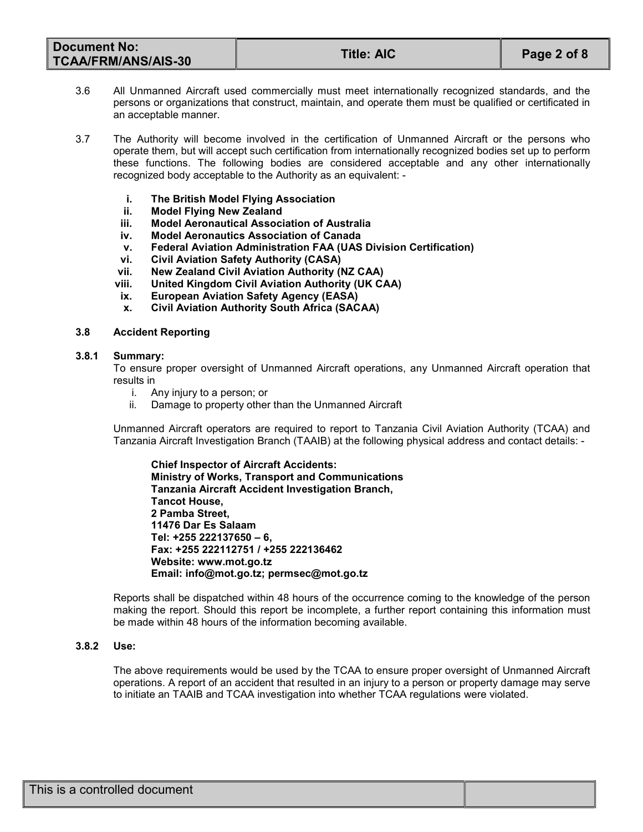| <b>Document No:</b><br><b>TCAA/FRM/ANS/AIS-30</b> | <b>Title: AIC</b> | Page 2 of 8 |
|---------------------------------------------------|-------------------|-------------|
|---------------------------------------------------|-------------------|-------------|

- 3.6 All Unmanned Aircraft used commercially must meet internationally recognized standards, and the persons or organizations that construct, maintain, and operate them must be qualified or certificated in an acceptable manner.
- 3.7 The Authority will become involved in the certification of Unmanned Aircraft or the persons who operate them, but will accept such certification from internationally recognized bodies set up to perform these functions. The following bodies are considered acceptable and any other internationally recognized body acceptable to the Authority as an equivalent:
	- i. The British Model Flying Association
	- ii. Model Flying New Zealand
	- iii. Model Aeronautical Association of Australia
	- iv. Model Aeronautics Association of Canada
	- v. Federal Aviation Administration FAA (UAS Division Certification)
	- vi. Civil Aviation Safety Authority (CASA)
	- vii. New Zealand Civil Aviation Authority (NZ CAA)
	- viii. United Kingdom Civil Aviation Authority (UK CAA)
	- ix. European Aviation Safety Agency (EASA)
	- x. Civil Aviation Authority South Africa (SACAA)

## 3.8 Accident Reporting

## 3.8.1 Summary:

To ensure proper oversight of Unmanned Aircraft operations, any Unmanned Aircraft operation that results in

- i. Any injury to a person; or
- ii. Damage to property other than the Unmanned Aircraft

Unmanned Aircraft operators are required to report to Tanzania Civil Aviation Authority (TCAA) and Tanzania Aircraft Investigation Branch (TAAIB) at the following physical address and contact details: -

Chief Inspector of Aircraft Accidents: Ministry of Works, Transport and Communications Tanzania Aircraft Accident Investigation Branch, Tancot House, 2 Pamba Street, 11476 Dar Es Salaam Tel: +255 222137650 – 6, Fax: +255 222112751 / +255 222136462 Website: www.mot.go.tz Email: info@mot.go.tz; permsec@mot.go.tz

Reports shall be dispatched within 48 hours of the occurrence coming to the knowledge of the person making the report. Should this report be incomplete, a further report containing this information must be made within 48 hours of the information becoming available.

## 3.8.2 Use:

The above requirements would be used by the TCAA to ensure proper oversight of Unmanned Aircraft operations. A report of an accident that resulted in an injury to a person or property damage may serve to initiate an TAAIB and TCAA investigation into whether TCAA regulations were violated.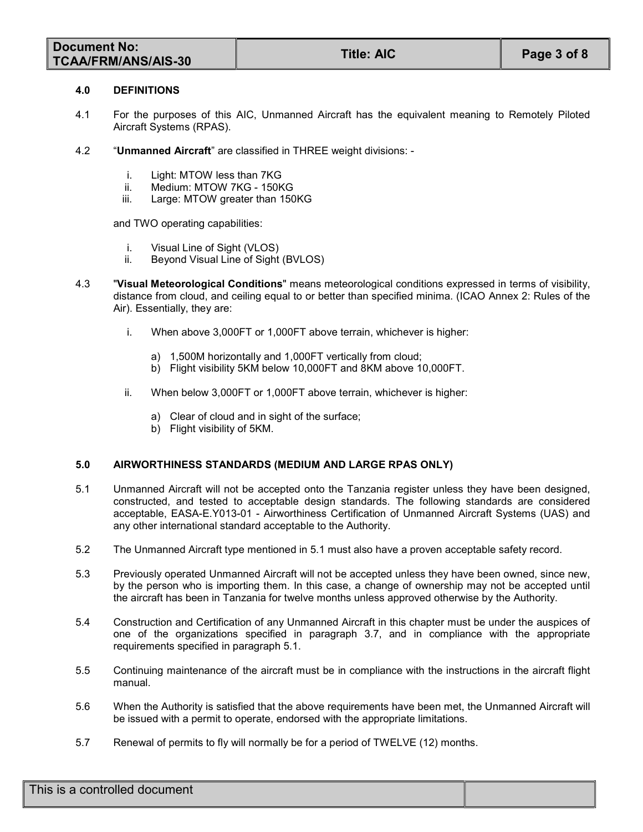| <b>Document No:</b>        | <b>Title: AIC</b> |             |
|----------------------------|-------------------|-------------|
| <b>TCAA/FRM/ANS/AIS-30</b> |                   | Page 3 of 8 |

#### 4.0 DEFINITIONS

- 4.1 For the purposes of this AIC, Unmanned Aircraft has the equivalent meaning to Remotely Piloted Aircraft Systems (RPAS).
- 4.2 "Unmanned Aircraft" are classified in THREE weight divisions:
	- i. Light: MTOW less than 7KG
	- ii. Medium: MTOW 7KG 150KG
	- iii. Large: MTOW greater than 150KG

and TWO operating capabilities:

- i. Visual Line of Sight (VLOS)<br>ii. Bevond Visual Line of Sight
- Beyond Visual Line of Sight (BVLOS)
- 4.3 "Visual Meteorological Conditions" means meteorological conditions expressed in terms of visibility, distance from cloud, and ceiling equal to or better than specified minima. (ICAO Annex 2: Rules of the Air). Essentially, they are:
	- i. When above 3,000FT or 1,000FT above terrain, whichever is higher:
		- a) 1,500M horizontally and 1,000FT vertically from cloud;
		- b) Flight visibility 5KM below 10,000FT and 8KM above 10,000FT.
	- ii. When below 3,000FT or 1,000FT above terrain, whichever is higher:
		- a) Clear of cloud and in sight of the surface;
		- b) Flight visibility of 5KM.

# 5.0 AIRWORTHINESS STANDARDS (MEDIUM AND LARGE RPAS ONLY)

- 5.1 Unmanned Aircraft will not be accepted onto the Tanzania register unless they have been designed, constructed, and tested to acceptable design standards. The following standards are considered acceptable, EASA-E.Y013-01 - Airworthiness Certification of Unmanned Aircraft Systems (UAS) and any other international standard acceptable to the Authority.
- 5.2 The Unmanned Aircraft type mentioned in 5.1 must also have a proven acceptable safety record.
- 5.3 Previously operated Unmanned Aircraft will not be accepted unless they have been owned, since new, by the person who is importing them. In this case, a change of ownership may not be accepted until the aircraft has been in Tanzania for twelve months unless approved otherwise by the Authority.
- 5.4 Construction and Certification of any Unmanned Aircraft in this chapter must be under the auspices of one of the organizations specified in paragraph 3.7, and in compliance with the appropriate requirements specified in paragraph 5.1.
- 5.5 Continuing maintenance of the aircraft must be in compliance with the instructions in the aircraft flight manual.
- 5.6 When the Authority is satisfied that the above requirements have been met, the Unmanned Aircraft will be issued with a permit to operate, endorsed with the appropriate limitations.
- 5.7 Renewal of permits to fly will normally be for a period of TWELVE (12) months.

| This is a controlled document |  |
|-------------------------------|--|
|                               |  |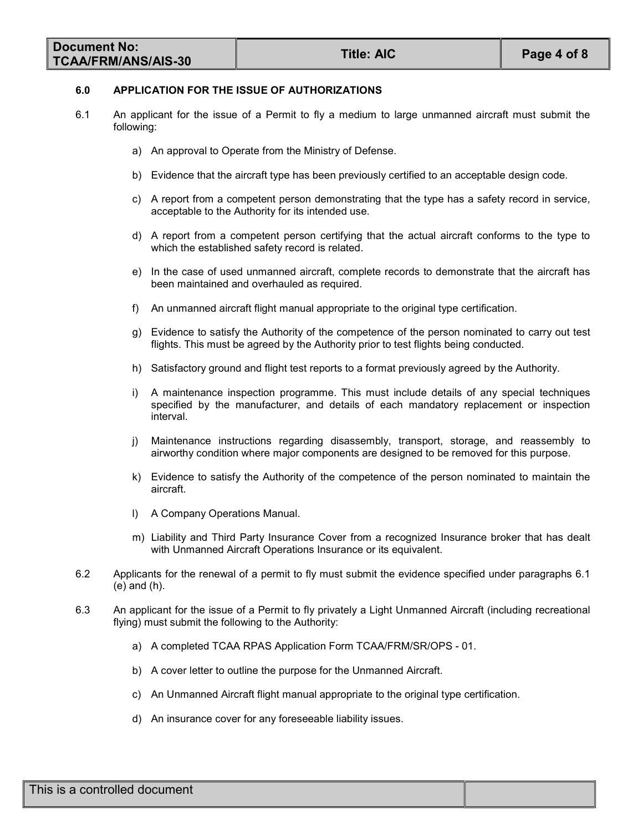| Document No:               | <b>Title: AIC</b> |             |  |
|----------------------------|-------------------|-------------|--|
| <b>TCAA/FRM/ANS/AIS-30</b> |                   | Page 4 of 8 |  |

#### 6.0 APPLICATION FOR THE ISSUE OF AUTHORIZATIONS

- 6.1 An applicant for the issue of a Permit to fly a medium to large unmanned aircraft must submit the following:
	- a) An approval to Operate from the Ministry of Defense.
	- b) Evidence that the aircraft type has been previously certified to an acceptable design code.
	- c) A report from a competent person demonstrating that the type has a safety record in service, acceptable to the Authority for its intended use.
	- d) A report from a competent person certifying that the actual aircraft conforms to the type to which the established safety record is related.
	- e) In the case of used unmanned aircraft, complete records to demonstrate that the aircraft has been maintained and overhauled as required.
	- f) An unmanned aircraft flight manual appropriate to the original type certification.
	- g) Evidence to satisfy the Authority of the competence of the person nominated to carry out test flights. This must be agreed by the Authority prior to test flights being conducted.
	- h) Satisfactory ground and flight test reports to a format previously agreed by the Authority.
	- i) A maintenance inspection programme. This must include details of any special techniques specified by the manufacturer, and details of each mandatory replacement or inspection interval.
	- j) Maintenance instructions regarding disassembly, transport, storage, and reassembly to airworthy condition where major components are designed to be removed for this purpose.
	- k) Evidence to satisfy the Authority of the competence of the person nominated to maintain the aircraft.
	- l) A Company Operations Manual.
	- m) Liability and Third Party Insurance Cover from a recognized Insurance broker that has dealt with Unmanned Aircraft Operations Insurance or its equivalent.
- 6.2 Applicants for the renewal of a permit to fly must submit the evidence specified under paragraphs 6.1 (e) and (h).
- 6.3 An applicant for the issue of a Permit to fly privately a Light Unmanned Aircraft (including recreational flying) must submit the following to the Authority:
	- a) A completed TCAA RPAS Application Form TCAA/FRM/SR/OPS 01.
	- b) A cover letter to outline the purpose for the Unmanned Aircraft.
	- c) An Unmanned Aircraft flight manual appropriate to the original type certification.
	- d) An insurance cover for any foreseeable liability issues.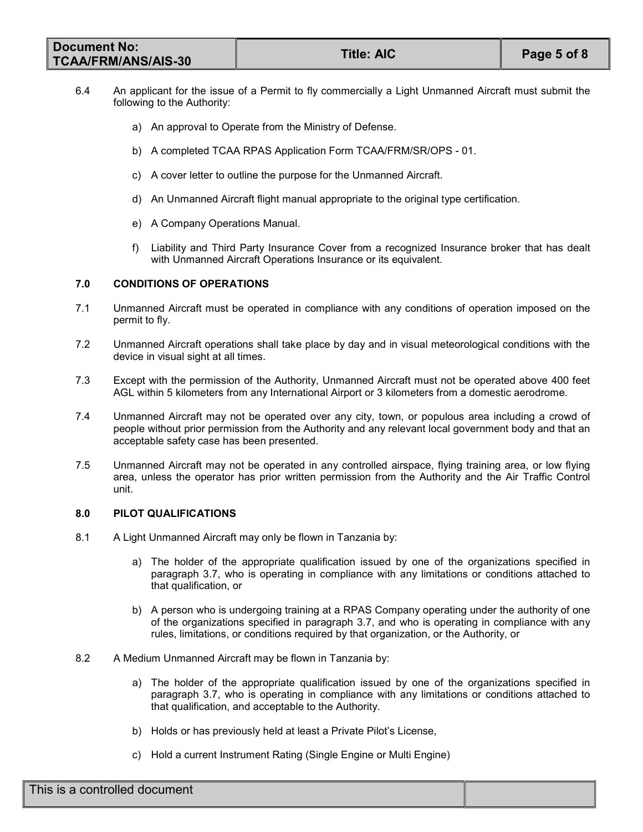| <b>Document No:</b>        | <b>Title: AIC</b> | Page 5 of 8 |
|----------------------------|-------------------|-------------|
| <b>TCAA/FRM/ANS/AIS-30</b> |                   |             |

- 6.4 An applicant for the issue of a Permit to fly commercially a Light Unmanned Aircraft must submit the following to the Authority:
	- a) An approval to Operate from the Ministry of Defense.
	- b) A completed TCAA RPAS Application Form TCAA/FRM/SR/OPS 01.
	- c) A cover letter to outline the purpose for the Unmanned Aircraft.
	- d) An Unmanned Aircraft flight manual appropriate to the original type certification.
	- e) A Company Operations Manual.
	- f) Liability and Third Party Insurance Cover from a recognized Insurance broker that has dealt with Unmanned Aircraft Operations Insurance or its equivalent.

# 7.0 CONDITIONS OF OPERATIONS

- 7.1 Unmanned Aircraft must be operated in compliance with any conditions of operation imposed on the permit to fly.
- 7.2 Unmanned Aircraft operations shall take place by day and in visual meteorological conditions with the device in visual sight at all times.
- 7.3 Except with the permission of the Authority, Unmanned Aircraft must not be operated above 400 feet AGL within 5 kilometers from any International Airport or 3 kilometers from a domestic aerodrome.
- 7.4 Unmanned Aircraft may not be operated over any city, town, or populous area including a crowd of people without prior permission from the Authority and any relevant local government body and that an acceptable safety case has been presented.
- 7.5 Unmanned Aircraft may not be operated in any controlled airspace, flying training area, or low flying area, unless the operator has prior written permission from the Authority and the Air Traffic Control unit.

## 8.0 PILOT QUALIFICATIONS

- 8.1 A Light Unmanned Aircraft may only be flown in Tanzania by:
	- a) The holder of the appropriate qualification issued by one of the organizations specified in paragraph 3.7, who is operating in compliance with any limitations or conditions attached to that qualification, or
	- b) A person who is undergoing training at a RPAS Company operating under the authority of one of the organizations specified in paragraph 3.7, and who is operating in compliance with any rules, limitations, or conditions required by that organization, or the Authority, or
- 8.2 A Medium Unmanned Aircraft may be flown in Tanzania by:
	- a) The holder of the appropriate qualification issued by one of the organizations specified in paragraph 3.7, who is operating in compliance with any limitations or conditions attached to that qualification, and acceptable to the Authority.
	- b) Holds or has previously held at least a Private Pilot's License,
	- c) Hold a current Instrument Rating (Single Engine or Multi Engine)

| This is a controlled document |  |
|-------------------------------|--|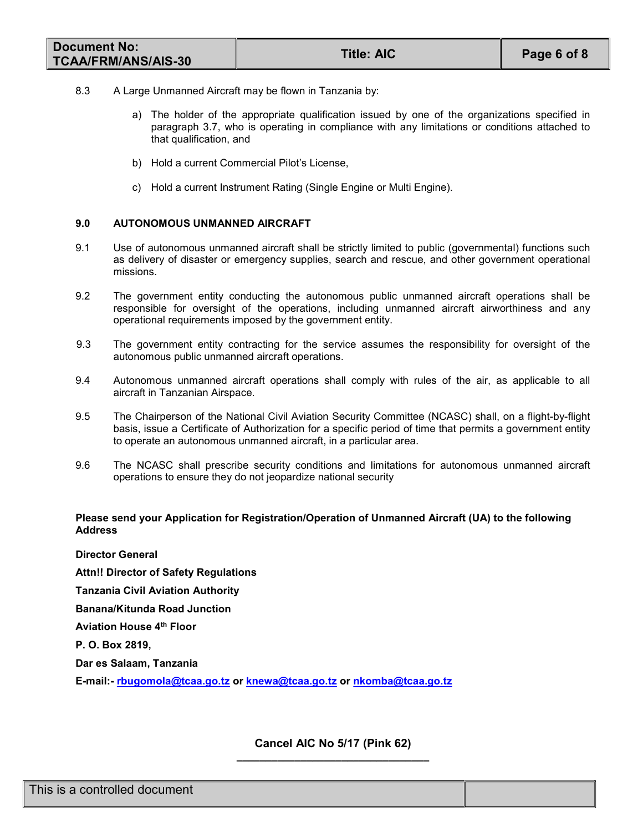| <b>Document No:</b>        | <b>Title: AIC</b> | Page 6 of 8 |
|----------------------------|-------------------|-------------|
| <b>TCAA/FRM/ANS/AIS-30</b> |                   |             |

- 8.3 A Large Unmanned Aircraft may be flown in Tanzania by:
	- a) The holder of the appropriate qualification issued by one of the organizations specified in paragraph 3.7, who is operating in compliance with any limitations or conditions attached to that qualification, and
	- b) Hold a current Commercial Pilot's License,
	- c) Hold a current Instrument Rating (Single Engine or Multi Engine).

# 9.0 AUTONOMOUS UNMANNED AIRCRAFT

- 9.1 Use of autonomous unmanned aircraft shall be strictly limited to public (governmental) functions such as delivery of disaster or emergency supplies, search and rescue, and other government operational missions.
- 9.2 The government entity conducting the autonomous public unmanned aircraft operations shall be responsible for oversight of the operations, including unmanned aircraft airworthiness and any operational requirements imposed by the government entity.
- 9.3 The government entity contracting for the service assumes the responsibility for oversight of the autonomous public unmanned aircraft operations.
- 9.4 Autonomous unmanned aircraft operations shall comply with rules of the air, as applicable to all aircraft in Tanzanian Airspace.
- 9.5 The Chairperson of the National Civil Aviation Security Committee (NCASC) shall, on a flight-by-flight basis, issue a Certificate of Authorization for a specific period of time that permits a government entity to operate an autonomous unmanned aircraft, in a particular area.
- 9.6 The NCASC shall prescribe security conditions and limitations for autonomous unmanned aircraft operations to ensure they do not jeopardize national security

# Please send your Application for Registration/Operation of Unmanned Aircraft (UA) to the following Address

Director General Attn!! Director of Safety Regulations Tanzania Civil Aviation Authority Banana/Kitunda Road Junction Aviation House 4<sup>th</sup> Floor P. O. Box 2819, Dar es Salaam, Tanzania

E-mail:- rbugomola@tcaa.go.tz or knewa@tcaa.go.tz or nkomba@tcaa.go.tz

## Cancel AIC No 5/17 (Pink 62) \_\_\_\_\_\_\_\_\_\_\_\_\_\_\_\_\_\_\_\_\_\_\_\_\_\_\_\_\_\_\_\_\_

| This is a controlled document |  |
|-------------------------------|--|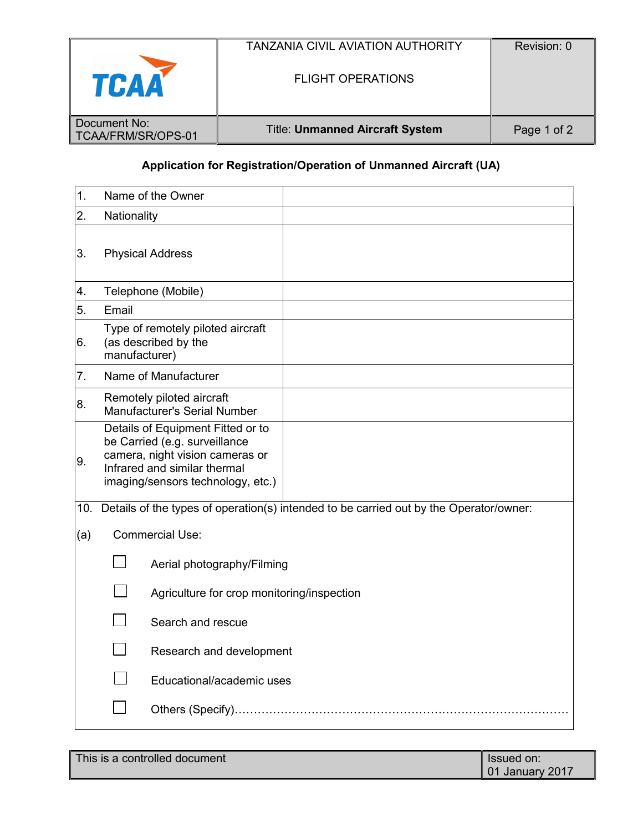| TCAA               | <b>TANZANIA CIVIL AVIATION AUTHORITY</b><br><b>FLIGHT OPERATIONS</b> | Revision: 0 |
|--------------------|----------------------------------------------------------------------|-------------|
| Document No:       |                                                                      |             |
| TCAA/FRM/SR/OPS-01 | <b>Title: Unmanned Aircraft System</b>                               | Page 1 of 2 |

# Application for Registration/Operation of Unmanned Aircraft (UA)

| 1.  |               | Name of the Owner                                                                                                                                                          |
|-----|---------------|----------------------------------------------------------------------------------------------------------------------------------------------------------------------------|
| 2.  | Nationality   |                                                                                                                                                                            |
| 3.  |               | <b>Physical Address</b>                                                                                                                                                    |
| 4.  |               | Telephone (Mobile)                                                                                                                                                         |
| 5.  | Email         |                                                                                                                                                                            |
| 6.  | manufacturer) | Type of remotely piloted aircraft<br>(as described by the                                                                                                                  |
| 7.  |               | Name of Manufacturer                                                                                                                                                       |
| 8.  |               | Remotely piloted aircraft<br>Manufacturer's Serial Number                                                                                                                  |
| 9.  |               | Details of Equipment Fitted or to<br>be Carried (e.g. surveillance<br>camera, night vision cameras or<br>Infrared and similar thermal<br>imaging/sensors technology, etc.) |
| 10. |               | Details of the types of operation(s) intended to be carried out by the Operator/owner:                                                                                     |
| (a) |               | <b>Commercial Use:</b>                                                                                                                                                     |
|     |               | Aerial photography/Filming                                                                                                                                                 |
|     |               | Agriculture for crop monitoring/inspection                                                                                                                                 |
|     |               | Search and rescue                                                                                                                                                          |
|     |               | Research and development                                                                                                                                                   |
|     |               | Educational/academic uses                                                                                                                                                  |
|     |               |                                                                                                                                                                            |

This is a controlled document